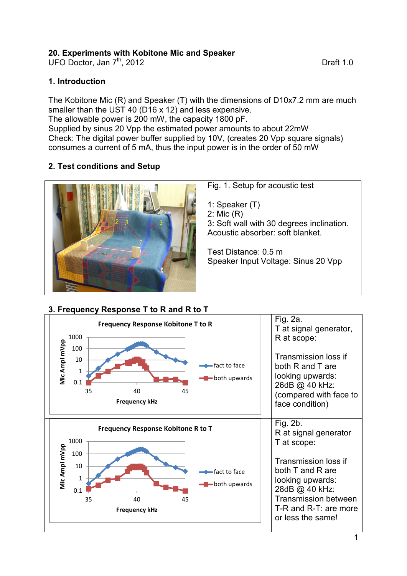### **20. Experiments with Kobitone Mic and Speaker**

UFO Doctor, Jan  $7<sup>th</sup>$ , 2012

### **1. Introduction**

The Kobitone Mic (R) and Speaker (T) with the dimensions of D10x7.2 mm are much smaller than the UST 40 (D16 x 12) and less expensive. The allowable power is 200 mW, the capacity 1800 pF. Supplied by sinus 20 Vpp the estimated power amounts to about 22mW Check: The digital power buffer supplied by 10V, (creates 20 Vpp square signals) consumes a current of 5 mA, thus the input power is in the order of 50 mW

## **2. Test conditions and Setup**



# **3. Frequency Response T to R and R to T**



1